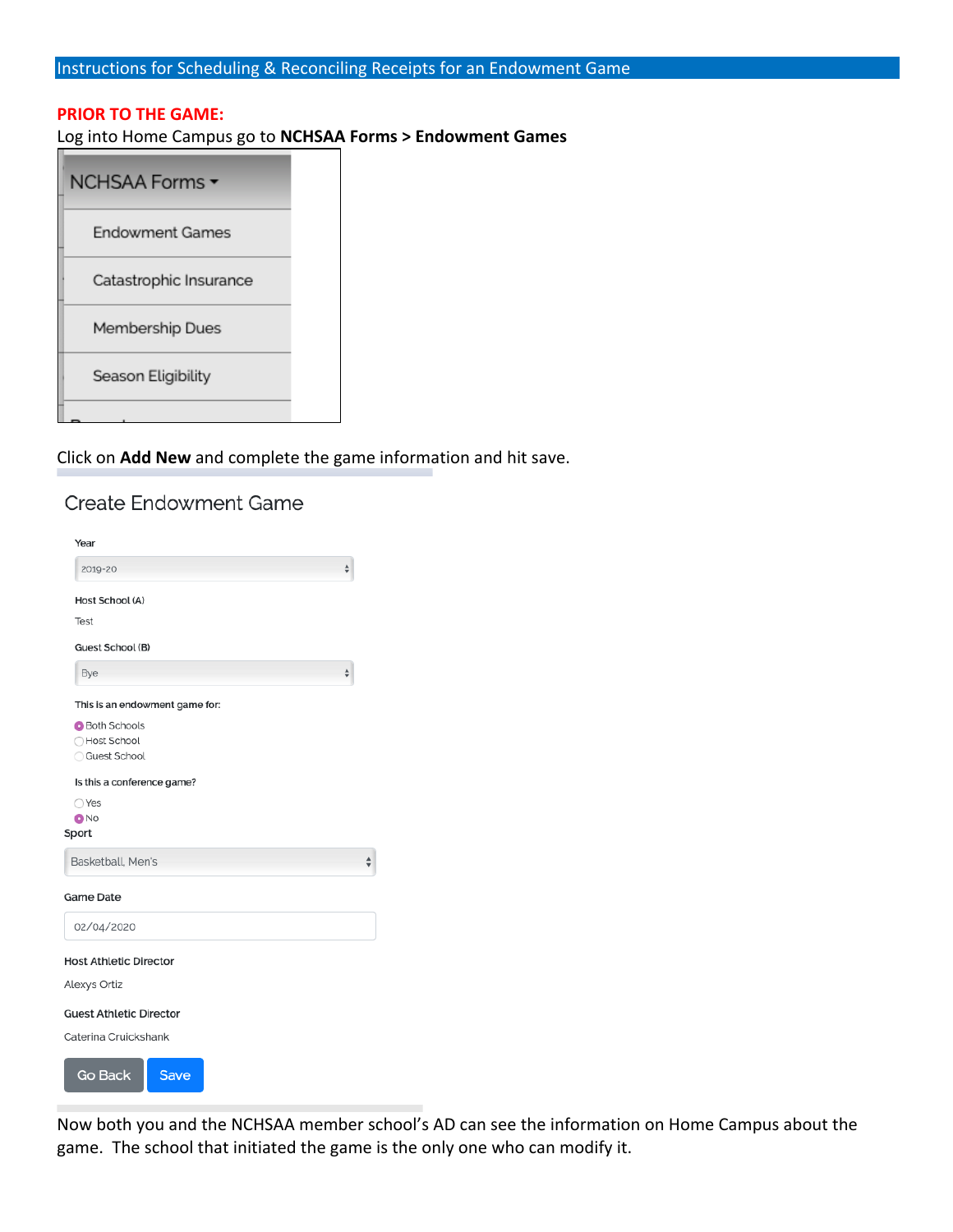# **PRIOR TO THE GAME:**

## Log into Home Campus go to **NCHSAA Forms > Endowment Games**

| NCHSAA Forms <del>▼</del> |  |
|---------------------------|--|
| Endowment Games           |  |
| Catastrophic Insurance    |  |
| Membership Dues           |  |
| Season Eligibility        |  |
|                           |  |

# Click on **Add New** and complete the game information and hit save.

# **Create Endowment Game**

| Year                           |                                                                               |
|--------------------------------|-------------------------------------------------------------------------------|
| 2019-20                        | $\frac{\text{A}}{\text{V}}$                                                   |
| Host School (A)                |                                                                               |
| Test                           |                                                                               |
| Guest School (B)               |                                                                               |
| Bye                            | $\frac{\blacktriangle}{\blacktriangledown}$                                   |
| This is an endowment game for: |                                                                               |
| <b>Both Schools</b>            |                                                                               |
| ◯ Host School                  |                                                                               |
| Guest School                   |                                                                               |
| Is this a conference game?     |                                                                               |
| ○Yes                           |                                                                               |
| ONO                            |                                                                               |
| Sport                          |                                                                               |
| Basketball, Men's              | $\frac{\textcolor{red}{\blacktriangle}}{\textcolor{red}{\blacktriangledown}}$ |
| <b>Game Date</b>               |                                                                               |
| 02/04/2020                     |                                                                               |
| <b>Host Athletic Director</b>  |                                                                               |
| Alexys Ortiz                   |                                                                               |
| <b>Guest Athletic Director</b> |                                                                               |
| Caterina Cruickshank           |                                                                               |
| <b>Go Back</b><br>Save         |                                                                               |

Now both you and the NCHSAA member school's AD can see the information on Home Campus about the game. The school that initiated the game is the only one who can modify it.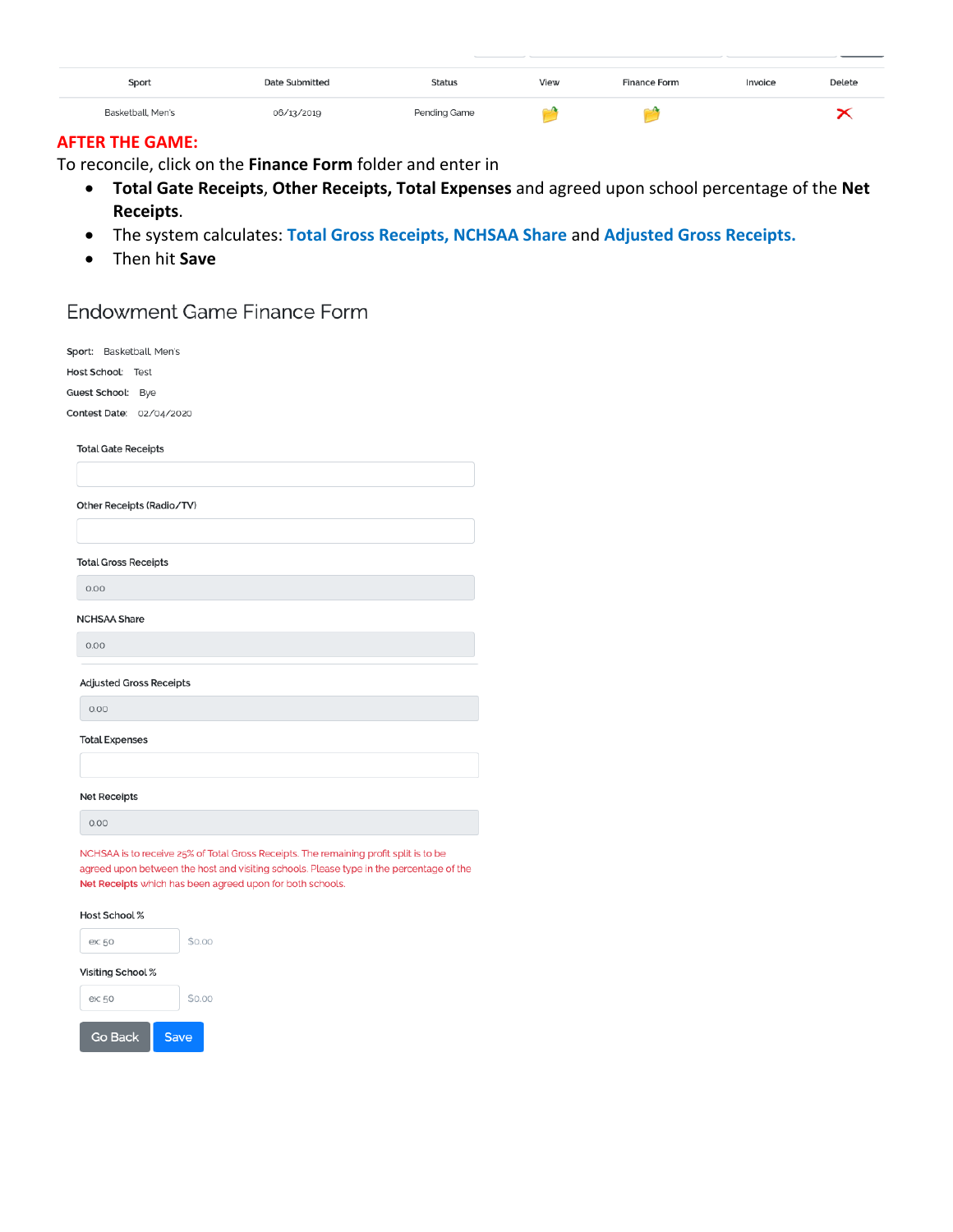| Sport             | <b>Date Submitted</b> | <b>Status</b> | View | <b>Finance Form</b> | Invoice | Delete |  |
|-------------------|-----------------------|---------------|------|---------------------|---------|--------|--|
| Basketball, Men's | 06/13/2019            | Pending Game  |      |                     |         |        |  |

### **AFTER THE GAME:**

To reconcile, click on the Finance Form folder and enter in

- Total Gate Receipts, Other Receipts, Total Expenses and agreed upon school percentage of the Net  $\bullet$ Receipts.
- The system calculates: Total Gross Receipts, NCHSAA Share and Adjusted Gross Receipts.  $\bullet$
- Then hit Save  $\bullet$

# Endowment Game Finance Form

Sport: Basketball, Men's Host School: Test

Guest School: Bye

Contest Date: 02/04/2020

**Total Gate Receipts** 

Other Receipts (Radio/TV)

**Total Gross Receipts** 

 $0.00$ 

NCHSAA Share

 $0.00$ 

### **Adjusted Gross Receipts**

 $0.00$ 

**Total Expenses** 

**Net Receipts** 

 $0.00$ 

NCHSAA is to receive 25% of Total Gross Receipts. The remaining profit split is to be agreed upon between the host and visiting schools. Please type in the percentage of the Net Receipts which has been agreed upon for both schools.

#### Host School %